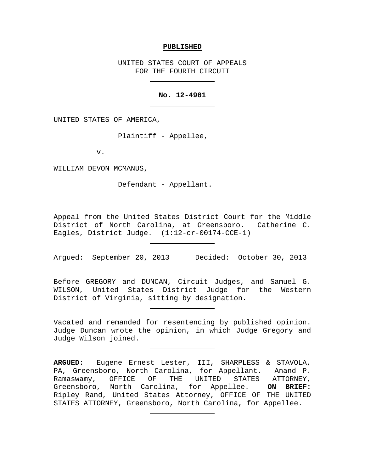#### **PUBLISHED**

UNITED STATES COURT OF APPEALS FOR THE FOURTH CIRCUIT

## **No. 12-4901**

UNITED STATES OF AMERICA,

Plaintiff - Appellee,

v.

WILLIAM DEVON MCMANUS,

Defendant - Appellant.

Appeal from the United States District Court for the Middle District of North Carolina, at Greensboro. Catherine C. Eagles, District Judge. (1:12-cr-00174-CCE-1)

Argued: September 20, 2013 Decided: October 30, 2013

Before GREGORY and DUNCAN, Circuit Judges, and Samuel G. WILSON, United States District Judge for the Western District of Virginia, sitting by designation.

Vacated and remanded for resentencing by published opinion. Judge Duncan wrote the opinion, in which Judge Gregory and Judge Wilson joined.

**ARGUED:** Eugene Ernest Lester, III, SHARPLESS & STAVOLA, PA, Greensboro, North Carolina, for Appellant. Anand P. Ramaswamy, OFFICE OF THE UNITED STATES ATTORNEY,<br>Greensboro, North Carolina, for Appellee. **ON BRIEF:** Greensboro, North Carolina, for Appellee. Ripley Rand, United States Attorney, OFFICE OF THE UNITED STATES ATTORNEY, Greensboro, North Carolina, for Appellee.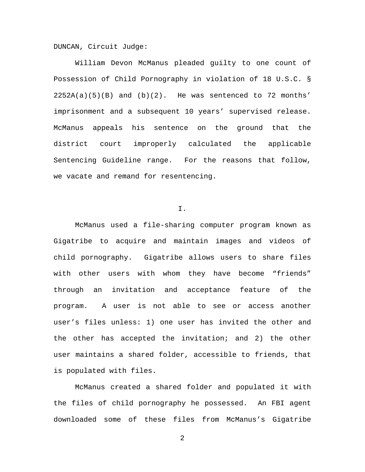DUNCAN, Circuit Judge:

William Devon McManus pleaded guilty to one count of Possession of Child Pornography in violation of 18 U.S.C. §  $2252A(a)(5)(B)$  and  $(b)(2)$ . He was sentenced to 72 months' imprisonment and a subsequent 10 years' supervised release. McManus appeals his sentence on the ground that the district court improperly calculated the applicable Sentencing Guideline range. For the reasons that follow, we vacate and remand for resentencing.

I.

McManus used a file-sharing computer program known as Gigatribe to acquire and maintain images and videos of child pornography. Gigatribe allows users to share files with other users with whom they have become "friends" through an invitation and acceptance feature of the program. A user is not able to see or access another user's files unless: 1) one user has invited the other and the other has accepted the invitation; and 2) the other user maintains a shared folder, accessible to friends, that is populated with files.

McManus created a shared folder and populated it with the files of child pornography he possessed. An FBI agent downloaded some of these files from McManus's Gigatribe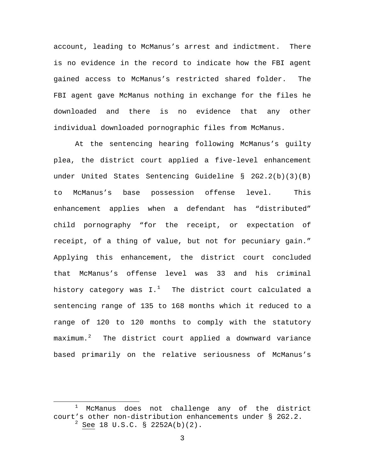account, leading to McManus's arrest and indictment. There is no evidence in the record to indicate how the FBI agent gained access to McManus's restricted shared folder. The FBI agent gave McManus nothing in exchange for the files he downloaded and there is no evidence that any other individual downloaded pornographic files from McManus.

At the sentencing hearing following McManus's guilty plea, the district court applied a five-level enhancement under United States Sentencing Guideline § 2G2.2(b)(3)(B) to McManus's base possession offense level. This enhancement applies when a defendant has "distributed" child pornography "for the receipt, or expectation of receipt, of a thing of value, but not for pecuniary gain." Applying this enhancement, the district court concluded that McManus's offense level was 33 and his criminal history category was I. $^1$  $^1$  The district court calculated a sentencing range of 135 to 168 months which it reduced to a range of 120 to 120 months to comply with the statutory maximum.[2](#page-2-1) The district court applied a downward variance based primarily on the relative seriousness of McManus's

<span id="page-2-1"></span><span id="page-2-0"></span><sup>&</sup>lt;sup>1</sup> McManus does not challenge any of the district court's other non-distribution enhancements under § 2G2.2.  $2^{2}$  See 18 U.S.C. § 2252A(b)(2).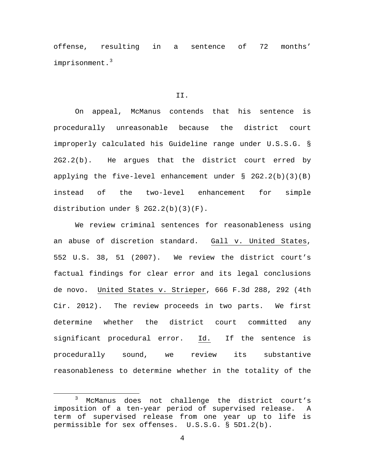offense, resulting in a sentence of 72 months' imprisonment.<sup>[3](#page-3-0)</sup>

#### II.

On appeal, McManus contends that his sentence is procedurally unreasonable because the district court improperly calculated his Guideline range under U.S.S.G. § 2G2.2(b). He argues that the district court erred by applying the five-level enhancement under § 2G2.2(b)(3)(B) instead of the two-level enhancement for simple distribution under § 2G2.2(b)(3)(F).

We review criminal sentences for reasonableness using an abuse of discretion standard. Gall v. United States, 552 U.S. 38, 51 (2007). We review the district court's factual findings for clear error and its legal conclusions de novo. United States v. Strieper, 666 F.3d 288, 292 (4th Cir. 2012). The review proceeds in two parts. We first determine whether the district court committed any significant procedural error. Id. If the sentence is procedurally sound, we review its substantive reasonableness to determine whether in the totality of the

<span id="page-3-0"></span><sup>3</sup> McManus does not challenge the district court's imposition of a ten-year period of supervised release. A term of supervised release from one year up to life is permissible for sex offenses. U.S.S.G. § 5D1.2(b).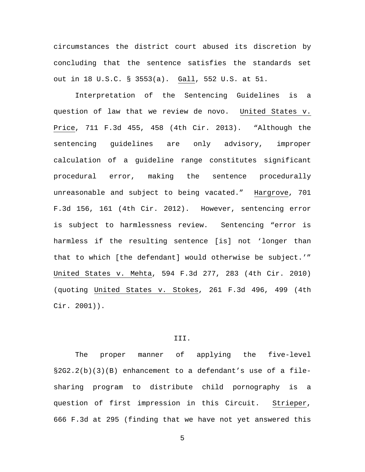circumstances the district court abused its discretion by concluding that the sentence satisfies the standards set out in 18 U.S.C. § 3553(a). Gall, 552 U.S. at 51.

Interpretation of the Sentencing Guidelines is a question of law that we review de novo. United States v. Price, 711 F.3d 455, 458 (4th Cir. 2013). "Although the sentencing guidelines are only advisory, improper calculation of a guideline range constitutes significant procedural error, making the sentence procedurally unreasonable and subject to being vacated." Hargrove, 701 F.3d 156, 161 (4th Cir. 2012). However, sentencing error is subject to harmlessness review. Sentencing "error is harmless if the resulting sentence [is] not 'longer than that to which [the defendant] would otherwise be subject.'" United States v. Mehta, 594 F.3d 277, 283 (4th Cir. 2010) (quoting United States v. Stokes, 261 F.3d 496, 499 (4th Cir. 2001)).

# III.

The proper manner of applying the five-level §2G2.2(b)(3)(B) enhancement to a defendant's use of a filesharing program to distribute child pornography is a question of first impression in this Circuit. Strieper, 666 F.3d at 295 (finding that we have not yet answered this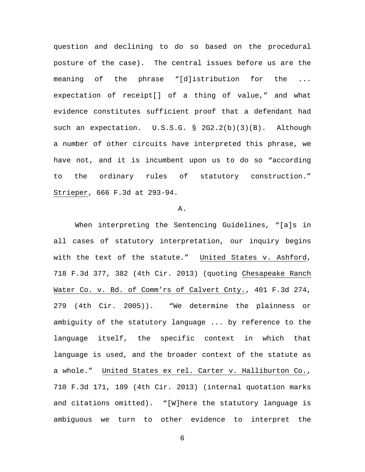question and declining to do so based on the procedural posture of the case). The central issues before us are the meaning of the phrase "[d]istribution for the ... expectation of receipt[] of a thing of value," and what evidence constitutes sufficient proof that a defendant had such an expectation. U.S.S.G. § 2G2.2(b)(3)(B). Although a number of other circuits have interpreted this phrase, we have not, and it is incumbent upon us to do so "according to the ordinary rules of statutory construction." Strieper, 666 F.3d at 293-94.

#### A.

When interpreting the Sentencing Guidelines, "[a]s in all cases of statutory interpretation, our inquiry begins with the text of the statute." United States v. Ashford, 718 F.3d 377, 382 (4th Cir. 2013) (quoting Chesapeake Ranch Water Co. v. Bd. of Comm'rs of Calvert Cnty., 401 F.3d 274, 279 (4th Cir. 2005)). "We determine the plainness or ambiguity of the statutory language ... by reference to the language itself, the specific context in which that language is used, and the broader context of the statute as a whole." United States ex rel. Carter v. Halliburton Co., 710 F.3d 171, 189 (4th Cir. 2013) (internal quotation marks and citations omitted). "[W]here the statutory language is ambiguous we turn to other evidence to interpret the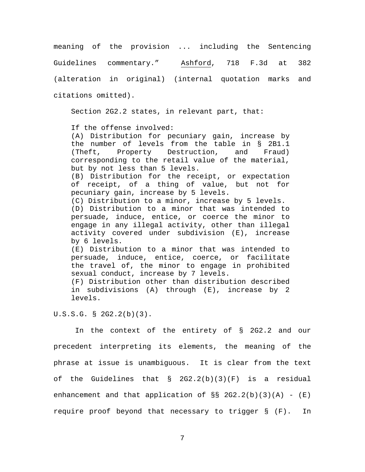meaning of the provision ... including the Sentencing Guidelines commentary." Ashford, 718 F.3d at 382 (alteration in original) (internal quotation marks and citations omitted).

Section 2G2.2 states, in relevant part, that:

If the offense involved:

(A) Distribution for pecuniary gain, increase by the number of levels from the table in § 2B1.1<br>(Theft. Property Destruction. and Fraud) (Theft, Property Destruction, and Fraud) corresponding to the retail value of the material, but by not less than 5 levels.

(B) Distribution for the receipt, or expectation of receipt, of a thing of value, but not for pecuniary gain, increase by 5 levels.

(C) Distribution to a minor, increase by 5 levels. (D) Distribution to a minor that was intended to persuade, induce, entice, or coerce the minor to engage in any illegal activity, other than illegal activity covered under subdivision (E), increase by 6 levels.

(E) Distribution to a minor that was intended to persuade, induce, entice, coerce, or facilitate the travel of, the minor to engage in prohibited sexual conduct, increase by 7 levels.

(F) Distribution other than distribution described in subdivisions (A) through (E), increase by 2 levels.

U.S.S.G. § 2G2.2(b)(3).

In the context of the entirety of § 2G2.2 and our precedent interpreting its elements, the meaning of the phrase at issue is unambiguous. It is clear from the text of the Guidelines that  $\S$  2G2.2(b)(3)(F) is a residual enhancement and that application of  $\S S$  2G2.2(b)(3)(A) -  $(E)$ require proof beyond that necessary to trigger § (F). In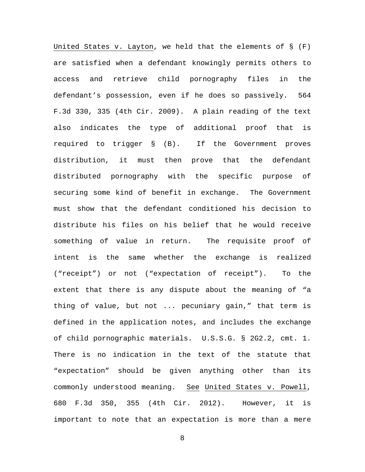United States v. Layton, we held that the elements of  $\S$  (F) are satisfied when a defendant knowingly permits others to access and retrieve child pornography files in the defendant's possession, even if he does so passively. 564 F.3d 330, 335 (4th Cir. 2009). A plain reading of the text also indicates the type of additional proof that is required to trigger § (B). If the Government proves distribution, it must then prove that the defendant distributed pornography with the specific purpose of securing some kind of benefit in exchange. The Government must show that the defendant conditioned his decision to distribute his files on his belief that he would receive something of value in return. The requisite proof of intent is the same whether the exchange is realized ("receipt") or not ("expectation of receipt"). To the extent that there is any dispute about the meaning of "a thing of value, but not ... pecuniary gain," that term is defined in the application notes, and includes the exchange of child pornographic materials. U.S.S.G. § 2G2.2, cmt. 1. There is no indication in the text of the statute that "expectation" should be given anything other than its commonly understood meaning. See United States v. Powell, 680 F.3d 350, 355 (4th Cir. 2012). However, it is important to note that an expectation is more than a mere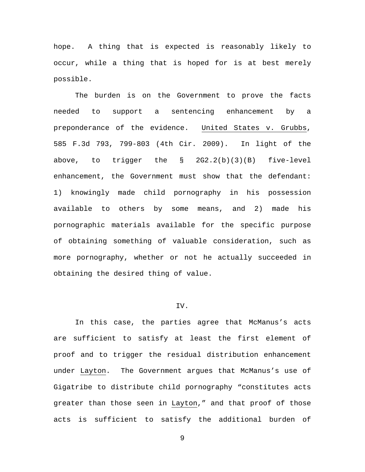hope. A thing that is expected is reasonably likely to occur, while a thing that is hoped for is at best merely possible.

The burden is on the Government to prove the facts needed to support a sentencing enhancement by a preponderance of the evidence. United States v. Grubbs, 585 F.3d 793, 799-803 (4th Cir. 2009). In light of the above, to trigger the § 2G2.2(b)(3)(B) five-level enhancement, the Government must show that the defendant: 1) knowingly made child pornography in his possession available to others by some means, and 2) made his pornographic materials available for the specific purpose of obtaining something of valuable consideration, such as more pornography, whether or not he actually succeeded in obtaining the desired thing of value.

## IV.

In this case, the parties agree that McManus's acts are sufficient to satisfy at least the first element of proof and to trigger the residual distribution enhancement under Layton. The Government argues that McManus's use of Gigatribe to distribute child pornography "constitutes acts greater than those seen in Layton," and that proof of those acts is sufficient to satisfy the additional burden of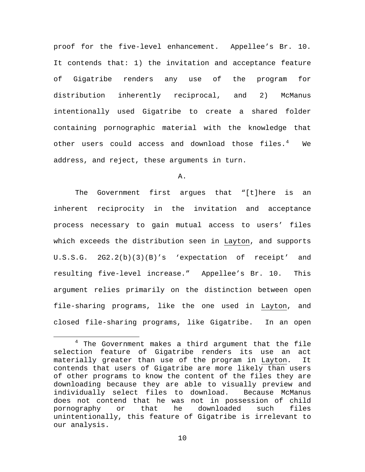proof for the five-level enhancement. Appellee's Br. 10. It contends that: 1) the invitation and acceptance feature of Gigatribe renders any use of the program for distribution inherently reciprocal, and 2) McManus intentionally used Gigatribe to create a shared folder containing pornographic material with the knowledge that other users could access and download those files.<sup>[4](#page-9-0)</sup> We address, and reject, these arguments in turn.

A.

The Government first argues that "[t]here is an inherent reciprocity in the invitation and acceptance process necessary to gain mutual access to users' files which exceeds the distribution seen in Layton, and supports U.S.S.G. 2G2.2(b)(3)(B)'s 'expectation of receipt' and resulting five-level increase." Appellee's Br. 10. This argument relies primarily on the distinction between open file-sharing programs, like the one used in Layton, and closed file-sharing programs, like Gigatribe. In an open

<span id="page-9-0"></span> $4$  The Government makes a third argument that the file selection feature of Gigatribe renders its use an act materially greater than use of the program in Layton. It contends that users of Gigatribe are more likely than users of other programs to know the content of the files they are downloading because they are able to visually preview and<br>individually select files to download. Because McManus individually select files to download. does not contend that he was not in possession of child<br>pornography or that he downloaded such files pornography or that he downloaded such files unintentionally, this feature of Gigatribe is irrelevant to our analysis.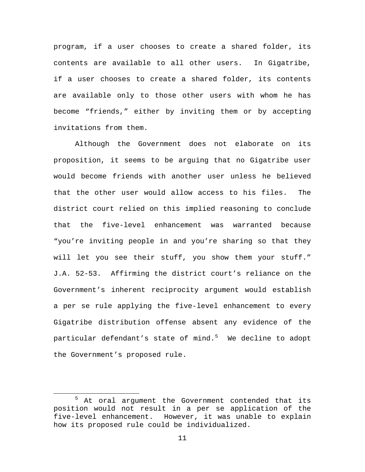program, if a user chooses to create a shared folder, its contents are available to all other users. In Gigatribe, if a user chooses to create a shared folder, its contents are available only to those other users with whom he has become "friends," either by inviting them or by accepting invitations from them.

Although the Government does not elaborate on its proposition, it seems to be arguing that no Gigatribe user would become friends with another user unless he believed that the other user would allow access to his files. The district court relied on this implied reasoning to conclude that the five-level enhancement was warranted because "you're inviting people in and you're sharing so that they will let you see their stuff, you show them your stuff." J.A. 52-53. Affirming the district court's reliance on the Government's inherent reciprocity argument would establish a per se rule applying the five-level enhancement to every Gigatribe distribution offense absent any evidence of the particular defendant's state of mind.<sup>[5](#page-10-0)</sup> We decline to adopt the Government's proposed rule.

<span id="page-10-0"></span><sup>&</sup>lt;sup>5</sup> At oral argument the Government contended that its position would not result in a per se application of the five-level enhancement. However, it was unable to explain how its proposed rule could be individualized.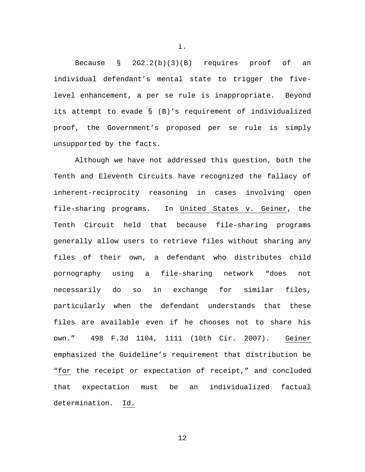Because § 2G2.2(b)(3)(B) requires proof of an individual defendant's mental state to trigger the fivelevel enhancement, a per se rule is inappropriate. Beyond its attempt to evade § (B)'s requirement of individualized proof, the Government's proposed per se rule is simply unsupported by the facts.

Although we have not addressed this question, both the Tenth and Eleventh Circuits have recognized the fallacy of inherent-reciprocity reasoning in cases involving open file-sharing programs. In United States v. Geiner, the Tenth Circuit held that because file-sharing programs generally allow users to retrieve files without sharing any files of their own, a defendant who distributes child pornography using a file-sharing network "does not necessarily do so in exchange for similar files, particularly when the defendant understands that these files are available even if he chooses not to share his own." 498 F.3d 1104, 1111 (10th Cir. 2007). Geiner emphasized the Guideline's requirement that distribution be "for the receipt or expectation of receipt," and concluded that expectation must be an individualized factual determination. Id.

12

i.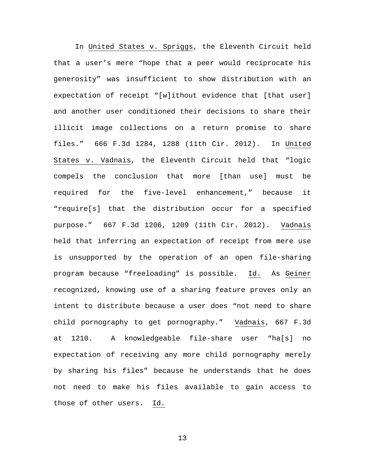In United States v. Spriggs, the Eleventh Circuit held that a user's mere "hope that a peer would reciprocate his generosity" was insufficient to show distribution with an expectation of receipt "[w]ithout evidence that [that user] and another user conditioned their decisions to share their illicit image collections on a return promise to share files." 666 F.3d 1284, 1288 (11th Cir. 2012). In United States v. Vadnais, the Eleventh Circuit held that "logic compels the conclusion that more [than use] must be required for the five-level enhancement," because it "require[s] that the distribution occur for a specified purpose." 667 F.3d 1206, 1209 (11th Cir. 2012). Vadnais held that inferring an expectation of receipt from mere use is unsupported by the operation of an open file-sharing program because "freeloading" is possible. Id. As Geiner recognized, knowing use of a sharing feature proves only an intent to distribute because a user does "not need to share child pornography to get pornography." Vadnais, 667 F.3d at 1210. A knowledgeable file-share user "ha[s] no expectation of receiving any more child pornography merely by sharing his files" because he understands that he does not need to make his files available to gain access to those of other users. Id.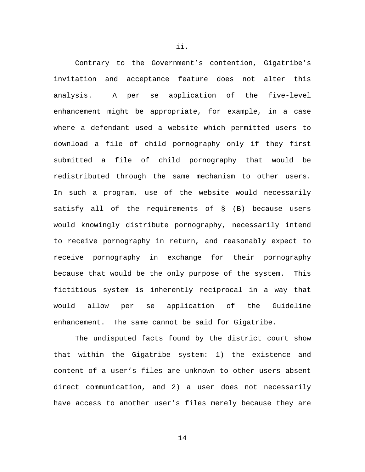Contrary to the Government's contention, Gigatribe's invitation and acceptance feature does not alter this analysis. A per se application of the five-level enhancement might be appropriate, for example, in a case where a defendant used a website which permitted users to download a file of child pornography only if they first submitted a file of child pornography that would be redistributed through the same mechanism to other users. In such a program, use of the website would necessarily satisfy all of the requirements of § (B) because users would knowingly distribute pornography, necessarily intend to receive pornography in return, and reasonably expect to receive pornography in exchange for their pornography because that would be the only purpose of the system. This fictitious system is inherently reciprocal in a way that would allow per se application of the Guideline enhancement. The same cannot be said for Gigatribe.

The undisputed facts found by the district court show that within the Gigatribe system: 1) the existence and content of a user's files are unknown to other users absent direct communication, and 2) a user does not necessarily have access to another user's files merely because they are

ii.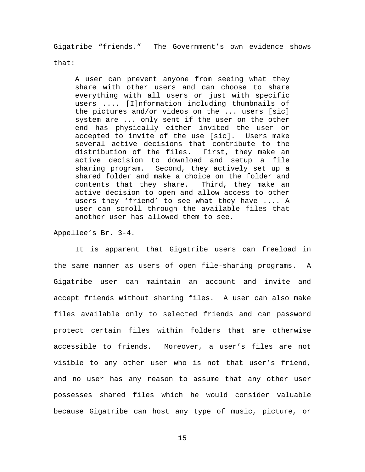Gigatribe "friends." The Government's own evidence shows

that:

A user can prevent anyone from seeing what they share with other users and can choose to share everything with all users or just with specific users .... [I]nformation including thumbnails of the pictures and/or videos on the ... users [sic] system are ... only sent if the user on the other end has physically either invited the user or accepted to invite of the use [sic]. Users make several active decisions that contribute to the<br>distribution of the files. First, they make an distribution of the files. active decision to download and setup a file sharing program. Second, they actively set up a shared folder and make a choice on the folder and contents that they share. Third, they make an contents that they share. active decision to open and allow access to other users they 'friend' to see what they have .... A user can scroll through the available files that another user has allowed them to see.

Appellee's Br. 3-4.

It is apparent that Gigatribe users can freeload in the same manner as users of open file-sharing programs. A Gigatribe user can maintain an account and invite and accept friends without sharing files. A user can also make files available only to selected friends and can password protect certain files within folders that are otherwise accessible to friends. Moreover, a user's files are not visible to any other user who is not that user's friend, and no user has any reason to assume that any other user possesses shared files which he would consider valuable because Gigatribe can host any type of music, picture, or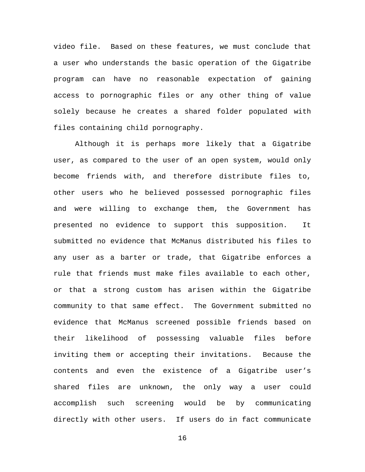video file. Based on these features, we must conclude that a user who understands the basic operation of the Gigatribe program can have no reasonable expectation of gaining access to pornographic files or any other thing of value solely because he creates a shared folder populated with files containing child pornography.

Although it is perhaps more likely that a Gigatribe user, as compared to the user of an open system, would only become friends with, and therefore distribute files to, other users who he believed possessed pornographic files and were willing to exchange them, the Government has presented no evidence to support this supposition. It submitted no evidence that McManus distributed his files to any user as a barter or trade, that Gigatribe enforces a rule that friends must make files available to each other, or that a strong custom has arisen within the Gigatribe community to that same effect. The Government submitted no evidence that McManus screened possible friends based on their likelihood of possessing valuable files before inviting them or accepting their invitations. Because the contents and even the existence of a Gigatribe user's shared files are unknown, the only way a user could accomplish such screening would be by communicating directly with other users. If users do in fact communicate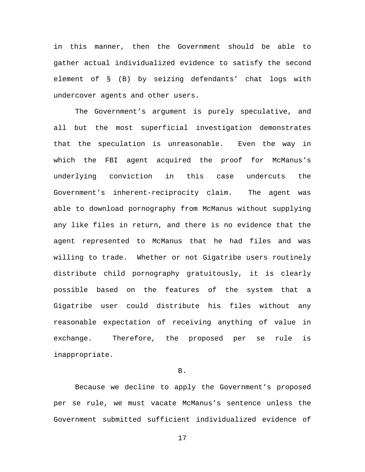in this manner, then the Government should be able to gather actual individualized evidence to satisfy the second element of § (B) by seizing defendants' chat logs with undercover agents and other users.

The Government's argument is purely speculative, and all but the most superficial investigation demonstrates that the speculation is unreasonable. Even the way in which the FBI agent acquired the proof for McManus's underlying conviction in this case undercuts the Government's inherent-reciprocity claim. The agent was able to download pornography from McManus without supplying any like files in return, and there is no evidence that the agent represented to McManus that he had files and was willing to trade. Whether or not Gigatribe users routinely distribute child pornography gratuitously, it is clearly possible based on the features of the system that a Gigatribe user could distribute his files without any reasonable expectation of receiving anything of value in exchange. Therefore, the proposed per se rule is inappropriate.

# B.

Because we decline to apply the Government's proposed per se rule, we must vacate McManus's sentence unless the Government submitted sufficient individualized evidence of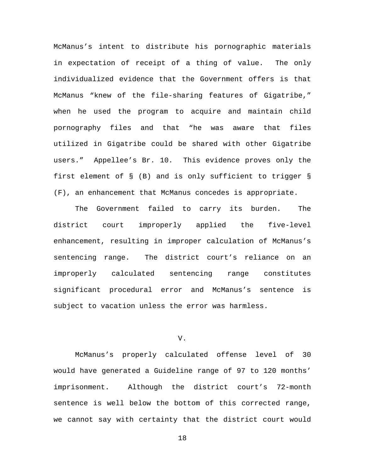McManus's intent to distribute his pornographic materials in expectation of receipt of a thing of value. The only individualized evidence that the Government offers is that McManus "knew of the file-sharing features of Gigatribe," when he used the program to acquire and maintain child pornography files and that "he was aware that files utilized in Gigatribe could be shared with other Gigatribe users." Appellee's Br. 10. This evidence proves only the first element of § (B) and is only sufficient to trigger § (F), an enhancement that McManus concedes is appropriate.

The Government failed to carry its burden. The district court improperly applied the five-level enhancement, resulting in improper calculation of McManus's sentencing range. The district court's reliance on an improperly calculated sentencing range constitutes significant procedural error and McManus's sentence is subject to vacation unless the error was harmless.

# V.

McManus's properly calculated offense level of 30 would have generated a Guideline range of 97 to 120 months' imprisonment. Although the district court's 72-month sentence is well below the bottom of this corrected range, we cannot say with certainty that the district court would